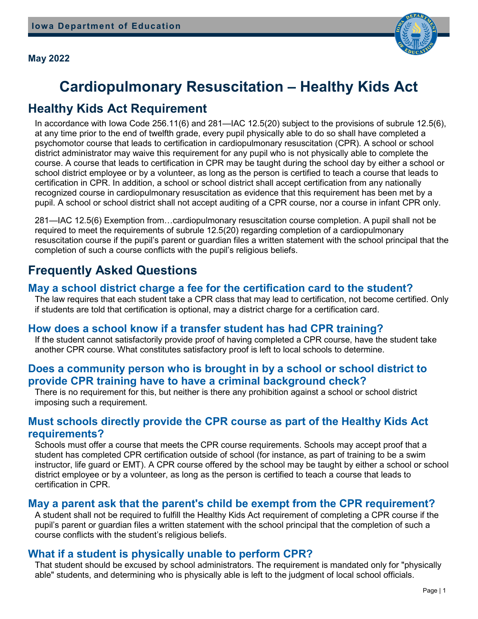

# **Cardiopulmonary Resuscitation – Healthy Kids Act**

### **Healthy Kids Act Requirement**

In accordance with Iowa Code 256.11(6) and 281—IAC 12.5(20) subject to the provisions of subrule 12.5(6), at any time prior to the end of twelfth grade, every pupil physically able to do so shall have completed a psychomotor course that leads to certification in cardiopulmonary resuscitation (CPR). A school or school district administrator may waive this requirement for any pupil who is not physically able to complete the course. A course that leads to certification in CPR may be taught during the school day by either a school or school district employee or by a volunteer, as long as the person is certified to teach a course that leads to certification in CPR. In addition, a school or school district shall accept certification from any nationally recognized course in cardiopulmonary resuscitation as evidence that this requirement has been met by a pupil. A school or school district shall not accept auditing of a CPR course, nor a course in infant CPR only.

281—IAC 12.5(6) Exemption from…cardiopulmonary resuscitation course completion. A pupil shall not be required to meet the requirements of subrule 12.5(20) regarding completion of a cardiopulmonary resuscitation course if the pupil's parent or guardian files a written statement with the school principal that the completion of such a course conflicts with the pupil's religious beliefs.

## **Frequently Asked Questions**

#### **May a school district charge a fee for the certification card to the student?**

The law requires that each student take a CPR class that may lead to certification, not become certified. Only if students are told that certification is optional, may a district charge for a certification card.

#### **How does a school know if a transfer student has had CPR training?**

If the student cannot satisfactorily provide proof of having completed a CPR course, have the student take another CPR course. What constitutes satisfactory proof is left to local schools to determine.

#### **Does a community person who is brought in by a school or school district to provide CPR training have to have a criminal background check?**

There is no requirement for this, but neither is there any prohibition against a school or school district imposing such a requirement.

#### **Must schools directly provide the CPR course as part of the Healthy Kids Act requirements?**

Schools must offer a course that meets the CPR course requirements. Schools may accept proof that a student has completed CPR certification outside of school (for instance, as part of training to be a swim instructor, life guard or EMT). A CPR course offered by the school may be taught by either a school or school district employee or by a volunteer, as long as the person is certified to teach a course that leads to certification in CPR.

#### **May a parent ask that the parent's child be exempt from the CPR requirement?**

A student shall not be required to fulfill the Healthy Kids Act requirement of completing a CPR course if the pupil's parent or guardian files a written statement with the school principal that the completion of such a course conflicts with the student's religious beliefs.

#### **What if a student is physically unable to perform CPR?**

That student should be excused by school administrators. The requirement is mandated only for "physically able" students, and determining who is physically able is left to the judgment of local school officials.